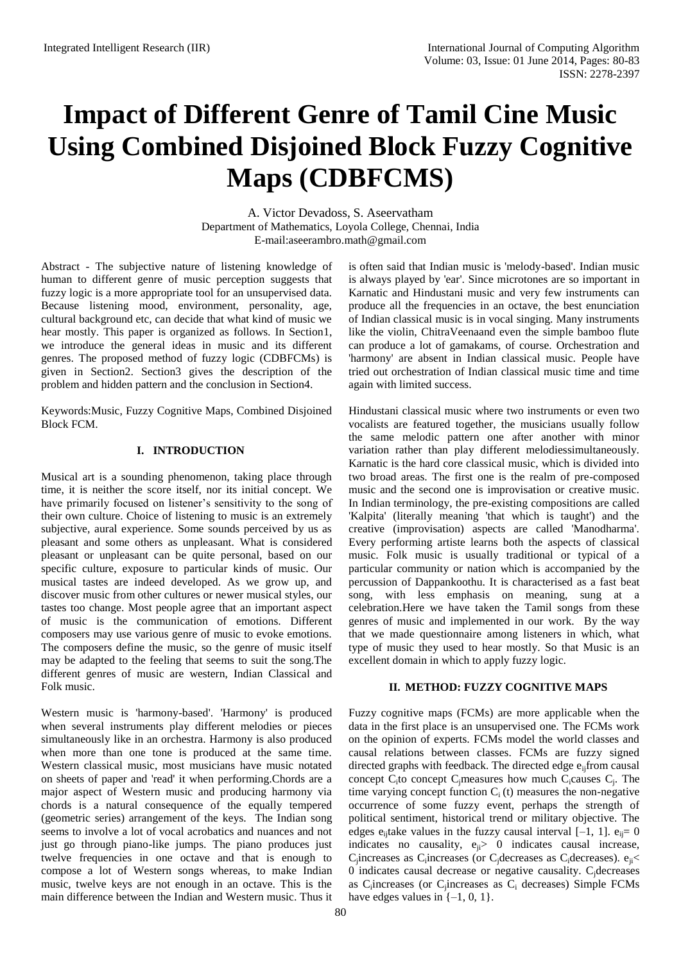# **Impact of Different Genre of Tamil Cine Music Using Combined Disjoined Block Fuzzy Cognitive Maps (CDBFCMS)**

A. Victor Devadoss, S. Aseervatham Department of Mathematics, Loyola College, Chennai, India [E-mail:aseerambro.math@gmail.com](mailto:E-mail:%20aseerambro.math@gmail.com)

Abstract - The subjective nature of listening knowledge of human to different genre of music perception suggests that fuzzy logic is a more appropriate tool for an unsupervised data. Because listening mood, environment, personality, age, cultural background etc, can decide that what kind of music we hear mostly. This paper is organized as follows. In Section1, we introduce the general ideas in music and its different genres. The proposed method of fuzzy logic (CDBFCMs) is given in Section2. Section3 gives the description of the problem and hidden pattern and the conclusion in Section4.

Keywords:Music, Fuzzy Cognitive Maps, Combined Disjoined Block FCM.

# **I. INTRODUCTION**

Musical art is a sounding phenomenon, taking place through time, it is neither the score itself, nor its initial concept. We have primarily focused on listener's sensitivity to the song of their own culture. Choice of listening to music is an extremely subjective, aural experience. Some sounds perceived by us as pleasant and some others as unpleasant. What is considered pleasant or unpleasant can be quite personal, based on our specific culture, exposure to particular kinds of music. Our musical tastes are indeed developed. As we grow up, and discover music from other cultures or newer musical styles, our tastes too change. Most people agree that an important aspect of music is the communication of emotions. Different composers may use various genre of music to evoke emotions. The composers define the music, so the genre of music itself may be adapted to the feeling that seems to suit the song.The different genres of music are western, Indian Classical and Folk music.

Western music is 'harmony-based'. 'Harmony' is produced when several instruments play different melodies or pieces simultaneously like in an orchestra. Harmony is also produced when more than one tone is produced at the same time. Western classical music, most musicians have music notated on sheets of paper and 'read' it when performing.Chords are a major aspect of Western music and producing harmony via chords is a natural consequence of the equally tempered (geometric series) arrangement of the keys. The Indian song seems to involve a lot of vocal acrobatics and nuances and not just go through piano-like jumps. The piano produces just twelve frequencies in one octave and that is enough to compose a lot of Western songs whereas, to make Indian music, twelve keys are not enough in an octave. This is the main difference between the Indian and Western music. Thus it

is often said that Indian music is 'melody-based'. Indian music is always played by 'ear'. Since microtones are so important in Karnatic and Hindustani music and very few instruments can produce all the frequencies in an octave, the best enunciation of Indian classical music is in vocal singing. Many instruments like the violin, ChitraVeenaand even the simple bamboo flute can produce a lot of gamakams, of course. Orchestration and 'harmony' are absent in Indian classical music. People have tried out orchestration of Indian classical music time and time again with limited success.

Hindustani classical music where two instruments or even two vocalists are featured together, the musicians usually follow the same melodic pattern one after another with minor variation rather than play different melodiessimultaneously. Karnatic is the hard core classical music, which is divided into two broad areas. The first one is the realm of pre-composed music and the second one is improvisation or creative music. In Indian terminology, the pre-existing compositions are called 'Kalpita' (literally meaning 'that which is taught') and the creative (improvisation) aspects are called 'Manodharma'. Every performing artiste learns both the aspects of classical music. Folk music is usually traditional or typical of a particular community or nation which is accompanied by the percussion of Dappankoothu. It is characterised as a fast beat song, with less emphasis on meaning, sung at a celebration.Here we have taken the Tamil songs from these genres of music and implemented in our work. By the way that we made questionnaire among listeners in which, what type of music they used to hear mostly. So that Music is an excellent domain in which to apply fuzzy logic.

# **II. METHOD: FUZZY COGNITIVE MAPS**

Fuzzy cognitive maps (FCMs) are more applicable when the data in the first place is an unsupervised one. The FCMs work on the opinion of experts. FCMs model the world classes and causal relations between classes. FCMs are fuzzy signed directed graphs with feedback. The directed edge  $e_{ii}$ from causal concept  $C_i$  to concept  $C_j$  measures how much  $C_i$  causes  $C_j$ . The time varying concept function  $C_i(t)$  measures the non-negative occurrence of some fuzzy event, perhaps the strength of political sentiment, historical trend or military objective. The edges  $e_{ii}$ take values in the fuzzy causal interval [-1, 1].  $e_{ii} = 0$ indicates no causality,  $e_{ii} > 0$  indicates causal increase,  $C_j$ increases as  $C_i$ increases (or  $C_j$ decreases as  $C_i$ decreases).  $e_{ji}$ 0 indicates causal decrease or negative causality. Cjdecreases as C<sub>i</sub>increases (or C<sub>j</sub>increases as C<sub>i</sub> decreases) Simple FCMs have edges values in  $\{-1, 0, 1\}$ .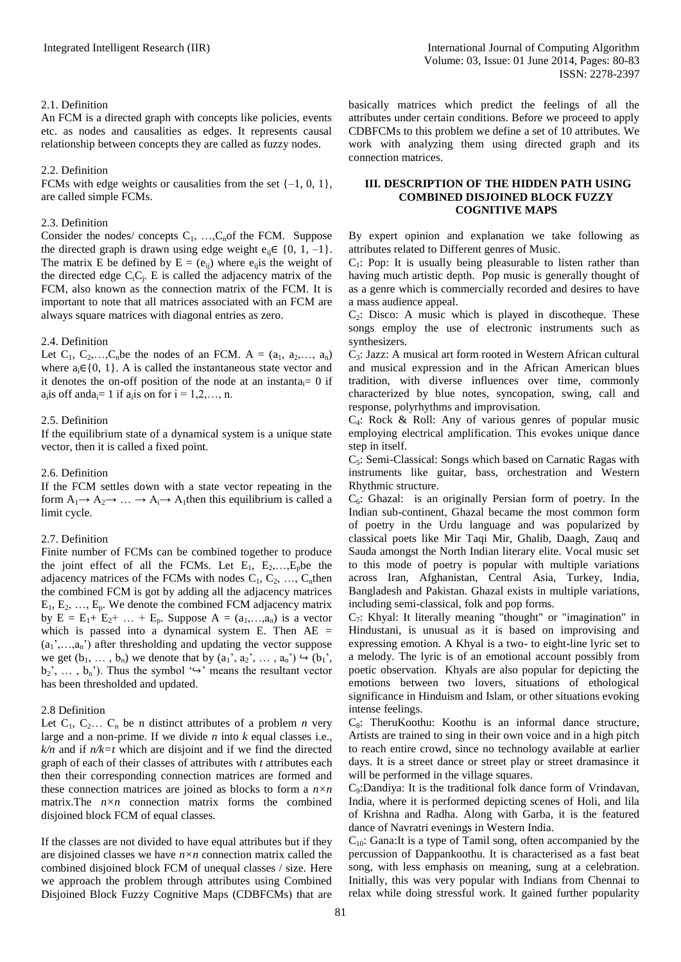#### 2.1. Definition

An FCM is a directed graph with concepts like policies, events etc. as nodes and causalities as edges. It represents causal relationship between concepts they are called as fuzzy nodes.

#### 2.2. Definition

FCMs with edge weights or causalities from the set  $\{-1, 0, 1\}$ , are called simple FCMs.

# 2.3. Definition

Consider the nodes/ concepts  $C_1$ , ...,  $C_n$  of the FCM. Suppose the directed graph is drawn using edge weight  $e_{ii} \in \{0, 1, -1\}.$ The matrix E be defined by  $E = (e_{ii})$  where  $e_{ii}$  is the weight of the directed edge  $C_iC_j$ . E is called the adjacency matrix of the FCM, also known as the connection matrix of the FCM. It is important to note that all matrices associated with an FCM are always square matrices with diagonal entries as zero.

# 2.4. Definition

Let  $C_1$ ,  $C_2$ ,..., $C_n$ be the nodes of an FCM. A =  $(a_1, a_2, \ldots, a_n)$ where  $a_i \in \{0, 1\}$ . A is called the instantaneous state vector and it denotes the on-off position of the node at an instanta $= 0$  if  $a_i$  is off and  $a_i = 1$  if  $a_i$  is on for  $i = 1, 2, ..., n$ .

# 2.5. Definition

If the equilibrium state of a dynamical system is a unique state vector, then it is called a fixed point.

# 2.6. Definition

If the FCM settles down with a state vector repeating in the form  $A_1 \rightarrow A_2 \rightarrow \dots \rightarrow A_i \rightarrow A_1$ then this equilibrium is called a limit cycle.

# 2.7. Definition

Finite number of FCMs can be combined together to produce the joint effect of all the FCMs. Let  $E_1$ ,  $E_2$ , ...,  $E_p$  be the adjacency matrices of the FCMs with nodes  $C_1, C_2, \ldots, C_n$ then the combined FCM is got by adding all the adjacency matrices  $E_1, E_2, \ldots, E_p$ . We denote the combined FCM adjacency matrix by  $E = E_1 + E_2 + ... + E_p$ . Suppose  $A = (a_1,...,a_n)$  is a vector which is passed into a dynamical system E. Then  $AE =$  $(a_1',...,a_n')$  after thresholding and updating the vector suppose we get  $(b_1, \ldots, b_n)$  we denote that by  $(a_1, a_2, \ldots, a_n) \hookrightarrow (b_1, b_2)$  $b_2$ ,  $\dots$ ,  $b_n$ <sup>'</sup>). Thus the symbol ' $\hookrightarrow$ ' means the resultant vector has been thresholded and updated.

# 2.8 Definition

Let  $C_1$ ,  $C_2$ ...  $C_n$  be n distinct attributes of a problem *n* very large and a non-prime. If we divide *n* into *k* equal classes i.e.,  $k/n$  and if  $n/k=t$  which are disjoint and if we find the directed graph of each of their classes of attributes with *t* attributes each then their corresponding connection matrices are formed and these connection matrices are joined as blocks to form a *n×n* matrix.The *n×n* connection matrix forms the combined disjoined block FCM of equal classes.

If the classes are not divided to have equal attributes but if they are disjoined classes we have *n×n* connection matrix called the combined disjoined block FCM of unequal classes / size. Here we approach the problem through attributes using Combined Disjoined Block Fuzzy Cognitive Maps (CDBFCMs) that are

basically matrices which predict the feelings of all the attributes under certain conditions. Before we proceed to apply CDBFCMs to this problem we define a set of 10 attributes. We work with analyzing them using directed graph and its connection matrices.

#### **III. DESCRIPTION OF THE HIDDEN PATH USING COMBINED DISJOINED BLOCK FUZZY COGNITIVE MAPS**

By expert opinion and explanation we take following as attributes related to Different genres of Music.

 $C_1$ : Pop: It is usually being pleasurable to listen rather than having much artistic depth. Pop music is generally thought of as a genre which is commercially recorded and desires to have a mass audience appeal.

 $C_2$ : Disco: A music which is played in discotheque. These songs employ the use of electronic instruments such as synthesizers.

C3: Jazz: A musical art form rooted in Western African cultural and musical expression and in the African American blues tradition, with diverse influences over time, commonly characterized by blue notes, syncopation, swing, call and response, polyrhythms and improvisation.

 $C_4$ : Rock & Roll: Any of various genres of popular music employing electrical amplification. This evokes unique dance step in itself.

C5: Semi-Classical: Songs which based on Carnatic Ragas with instruments like guitar, bass, orchestration and Western Rhythmic structure.

 $C_6$ : Ghazal: is an originally Persian form of poetry. In the Indian sub-continent, Ghazal became the most common form of poetry in the Urdu language and was popularized by classical poets like Mir Taqi Mir, Ghalib, Daagh, Zauq and Sauda amongst the North Indian literary elite. Vocal music set to this mode of poetry is popular with multiple variations across Iran, Afghanistan, Central Asia, Turkey, India, Bangladesh and Pakistan. Ghazal exists in multiple variations, including semi-classical, folk and pop forms.

C7: Khyal: It literally meaning "thought" or "imagination" in Hindustani, is unusual as it is based on improvising and expressing emotion. A Khyal is a two- to eight-line lyric set to a melody. The lyric is of an emotional account possibly from poetic observation. Khyals are also popular for depicting the emotions between two lovers, situations of ethological significance in Hinduism and Islam, or other situations evoking intense feelings.

 $C_8$ : TheruKoothu: Koothu is an informal dance structure, Artists are trained to sing in their own voice and in a high pitch to reach entire crowd, since no technology available at earlier days. It is a street dance or street play or street dramasince it will be performed in the village squares.

C9:Dandiya: It is the traditional folk dance form of Vrindavan, India, where it is performed depicting scenes of Holi, and lila of Krishna and Radha. Along with Garba, it is the featured dance of Navratri evenings in Western India.

 $C_{10}$ : Gana:It is a type of Tamil song, often accompanied by the percussion of Dappankoothu. It is characterised as a fast beat song, with less emphasis on meaning, sung at a celebration. Initially, this was very popular with Indians from Chennai to relax while doing stressful work. It gained further popularity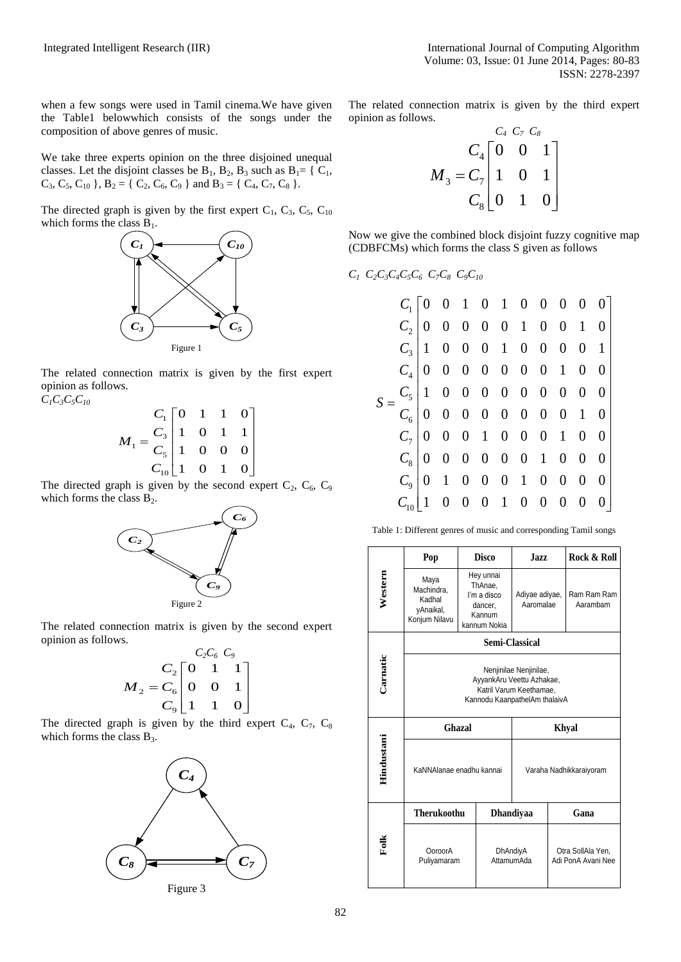when a few songs were used in Tamil cinema.We have given the Table1 belowwhich consists of the songs under the composition of above genres of music.

We take three experts opinion on the three disjoined unequal classes. Let the disjoint classes be  $B_1$ ,  $B_2$ ,  $B_3$  such as  $B_1 = \{C_1,$  $C_3$ ,  $C_5$ ,  $C_{10}$ ,  $B_2 = \{ C_2, C_6, C_9 \}$  and  $B_3 = \{ C_4, C_7, C_8 \}$ .

The directed graph is given by the first expert  $C_1$ ,  $C_3$ ,  $C_5$ ,  $C_{10}$ which forms the class  $B_1$ .



The related connection matrix is given by the first expert opinion as follows.  $C_1C_3C_5C_{10}$ 

$$
M_1 = \frac{C_1}{C_3} \begin{bmatrix} 0 & 1 & 1 & 0 \\ 1 & 0 & 1 & 1 \\ 1 & 0 & 0 & 0 \\ 1 & 0 & 0 & 0 \\ C_{10} \end{bmatrix}
$$

The directed graph is given by the second expert  $C_2$ ,  $C_6$ ,  $C_9$ which forms the class  $B_2$ .



The related connection matrix is given by the second expert opinion as follows.

$$
M_2 = \frac{C_2 \begin{bmatrix} C_2C_6 & C_9 \\ 0 & 1 & 1 \\ C_9 \end{bmatrix}}{C_9 \begin{bmatrix} 0 & 1 & 1 \\ 1 & 1 & 0 \end{bmatrix}}
$$

The directed graph is given by the third expert  $C_4$ ,  $C_7$ ,  $C_8$ which forms the class  $B_3$ .



Figure 3

The related connection matrix is given by the third expert opinion as follows.

$$
M_{3} = C_{7} \begin{bmatrix} C_{4} & C_{7} & C_{8} \\ 0 & 0 & 1 \\ 1 & 0 & 1 \\ C_{8} & 0 & 1 & 0 \end{bmatrix}
$$

Now we give the combined block disjoint fuzzy cognitive map (CDBFCMs) which forms the class S given as follows

# *C1 C2C3C4C5C6 C7C8 C9C<sup>10</sup>*

|  |                                                        | $v/v_0$ $v_y v_{10}$ |  |  |                           |                               |
|--|--------------------------------------------------------|----------------------|--|--|---------------------------|-------------------------------|
|  |                                                        |                      |  |  |                           | $C_1$   0 0 1 0 1 0 0 0 0 0 0 |
|  |                                                        |                      |  |  | $C_2$ 0 0 0 0 0 1 0 0 1 0 |                               |
|  |                                                        |                      |  |  | $C_3$ 1 0 0 0 1 0 0 0 0 1 |                               |
|  |                                                        |                      |  |  | $C_4$ 0 0 0 0 0 0 0 1 0 0 |                               |
|  | $C_5$ 1 0 0 0 0 0 0 0 0 0<br>$C_6$ 0 0 0 0 0 0 0 0 1 0 |                      |  |  |                           |                               |
|  |                                                        |                      |  |  |                           |                               |
|  |                                                        |                      |  |  | $C_7$ 0 0 0 1 0 0 0 1 0 0 |                               |
|  |                                                        |                      |  |  | $C_8$ 0 0 0 0 0 0 1 0 0 0 |                               |
|  |                                                        |                      |  |  |                           |                               |
|  |                                                        |                      |  |  | 0 0 0 1 0 0 0 0           |                               |
|  |                                                        |                      |  |  |                           |                               |

|                 | Pop                                                                                                             | <b>Disco</b>                                                             |                        | <b>Jazz</b>                 |      | Rock & Roll                             |  |  |  |  |
|-----------------|-----------------------------------------------------------------------------------------------------------------|--------------------------------------------------------------------------|------------------------|-----------------------------|------|-----------------------------------------|--|--|--|--|
| Western         | Maya<br>Machindra,<br>Kadhal<br>vAnaikal,<br>Konjum Nilavu                                                      | Hey unnai<br>ThAnae,<br>I'm a disco<br>dancer,<br>Kannum<br>kannum Nokia |                        | Adiyae adiyae,<br>Aaromalae |      | Ram Ram Ram<br>Aarambam                 |  |  |  |  |
|                 | Semi-Classical                                                                                                  |                                                                          |                        |                             |      |                                         |  |  |  |  |
| <b>Carnatic</b> | Nenjinilae Nenjinilae,<br>AyyankAru Veettu Azhakae,<br>Katril Varum Keethamae,<br>Kannodu KaanpathelAm thalaivA |                                                                          |                        |                             |      |                                         |  |  |  |  |
|                 |                                                                                                                 | Ghazal                                                                   |                        | Khyal                       |      |                                         |  |  |  |  |
| Hindustani      | KaNNAlanae enadhu kannai                                                                                        |                                                                          |                        | Varaha Nadhikkaraiyoram     |      |                                         |  |  |  |  |
|                 | <b>Therukoothu</b>                                                                                              |                                                                          | <b>Dhandiyaa</b>       |                             | Gana |                                         |  |  |  |  |
| Folk            | OoroorA<br>Puliyamaram                                                                                          |                                                                          | DhAndiyA<br>AttamumAda |                             |      | Otra SollAla Yen,<br>Adi PonA Avani Nee |  |  |  |  |

Table 1: Different genres of music and corresponding Tamil songs